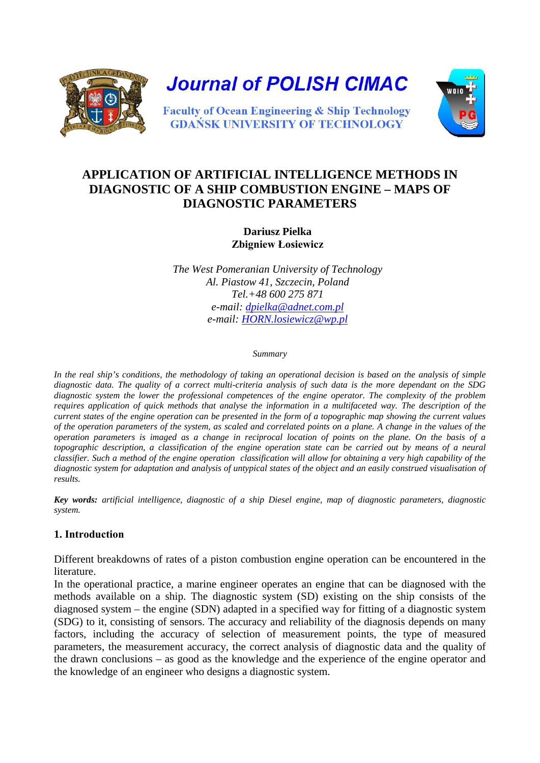

**Journal of POLISH CIMAC** 



**Faculty of Ocean Engineering & Ship Technology GDANSK UNIVERSITY OF TECHNOLOGY** 

# **APPLICATION OF ARTIFICIAL INTELLIGENCE METHODS IN DIAGNOSTIC OF A SHIP COMBUSTION ENGINE – MAPS OF DIAGNOSTIC PARAMETERS**

### **Dariusz Pielka Zbigniew Łosiewicz**

*The West Pomeranian University of Technology Al. Piastow 41, Szczecin, Poland Tel.+48 600 275 871 e-mail: [dpielka@adnet.com.pl](mailto:dpielka@adnet.com.pl)  e-mail: [HORN.losiewicz@wp.pl](mailto:HORN.losiewicz@wp.pl)*

#### *Summary*

In the real ship's conditions, the methodology of taking an operational decision is based on the analysis of simple *diagnostic data. The quality of a correct multi-criteria analysis of such data is the more dependant on the SDG diagnostic system the lower the professional competences of the engine operator. The complexity of the problem requires application of quick methods that analyse the information in a multifaceted way. The description of the current states of the engine operation can be presented in the form of a topographic map showing the current values of the operation parameters of the system, as scaled and correlated points on a plane. A change in the values of the operation parameters is imaged as a change in reciprocal location of points on the plane. On the basis of a topographic description, a classification of the engine operation state can be carried out by means of a neural classifier. Such a method of the engine operation classification will allow for obtaining a very high capability of the diagnostic system for adaptation and analysis of untypical states of the object and an easily construed visualisation of results.* 

*Key words: artificial intelligence, diagnostic of a ship Diesel engine, map of diagnostic parameters, diagnostic system.*

# **1. Introduction**

Different breakdowns of rates of a piston combustion engine operation can be encountered in the literature.

In the operational practice, a marine engineer operates an engine that can be diagnosed with the methods available on a ship. The diagnostic system (SD) existing on the ship consists of the diagnosed system – the engine (SDN) adapted in a specified way for fitting of a diagnostic system (SDG) to it, consisting of sensors. The accuracy and reliability of the diagnosis depends on many factors, including the accuracy of selection of measurement points, the type of measured parameters, the measurement accuracy, the correct analysis of diagnostic data and the quality of the drawn conclusions – as good as the knowledge and the experience of the engine operator and the knowledge of an engineer who designs a diagnostic system.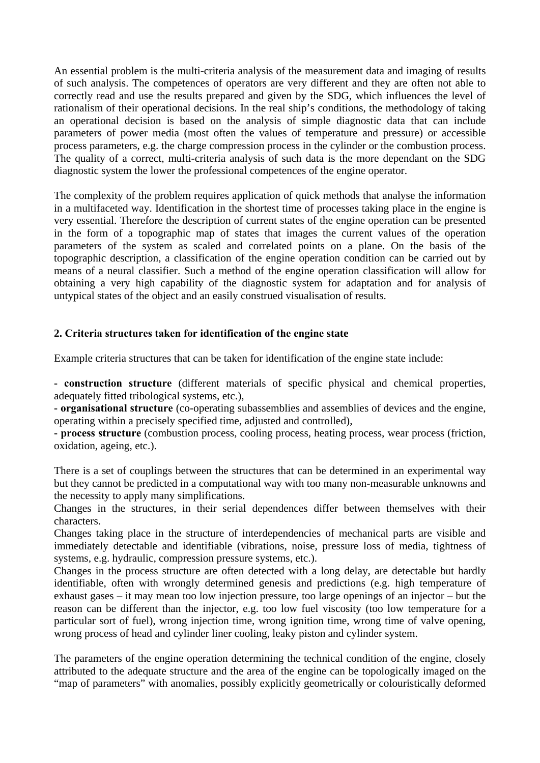An essential problem is the multi-criteria analysis of the measurement data and imaging of results of such analysis. The competences of operators are very different and they are often not able to correctly read and use the results prepared and given by the SDG, which influences the level of rationalism of their operational decisions. In the real ship's conditions, the methodology of taking an operational decision is based on the analysis of simple diagnostic data that can include parameters of power media (most often the values of temperature and pressure) or accessible process parameters, e.g. the charge compression process in the cylinder or the combustion process. The quality of a correct, multi-criteria analysis of such data is the more dependant on the SDG diagnostic system the lower the professional competences of the engine operator.

The complexity of the problem requires application of quick methods that analyse the information in a multifaceted way. Identification in the shortest time of processes taking place in the engine is very essential. Therefore the description of current states of the engine operation can be presented in the form of a topographic map of states that images the current values of the operation parameters of the system as scaled and correlated points on a plane. On the basis of the topographic description, a classification of the engine operation condition can be carried out by means of a neural classifier. Such a method of the engine operation classification will allow for obtaining a very high capability of the diagnostic system for adaptation and for analysis of untypical states of the object and an easily construed visualisation of results.

# **2. Criteria structures taken for identification of the engine state**

Example criteria structures that can be taken for identification of the engine state include:

**- construction structure** (different materials of specific physical and chemical properties, adequately fitted tribological systems, etc.),

**- organisational structure** (co-operating subassemblies and assemblies of devices and the engine, operating within a precisely specified time, adjusted and controlled),

**- process structure** (combustion process, cooling process, heating process, wear process (friction, oxidation, ageing, etc.).

There is a set of couplings between the structures that can be determined in an experimental way but they cannot be predicted in a computational way with too many non-measurable unknowns and the necessity to apply many simplifications.

Changes in the structures, in their serial dependences differ between themselves with their characters.

Changes taking place in the structure of interdependencies of mechanical parts are visible and immediately detectable and identifiable (vibrations, noise, pressure loss of media, tightness of systems, e.g. hydraulic, compression pressure systems, etc.).

Changes in the process structure are often detected with a long delay, are detectable but hardly identifiable, often with wrongly determined genesis and predictions (e.g. high temperature of exhaust gases – it may mean too low injection pressure, too large openings of an injector – but the reason can be different than the injector, e.g. too low fuel viscosity (too low temperature for a particular sort of fuel), wrong injection time, wrong ignition time, wrong time of valve opening, wrong process of head and cylinder liner cooling, leaky piston and cylinder system.

The parameters of the engine operation determining the technical condition of the engine, closely attributed to the adequate structure and the area of the engine can be topologically imaged on the "map of parameters" with anomalies, possibly explicitly geometrically or colouristically deformed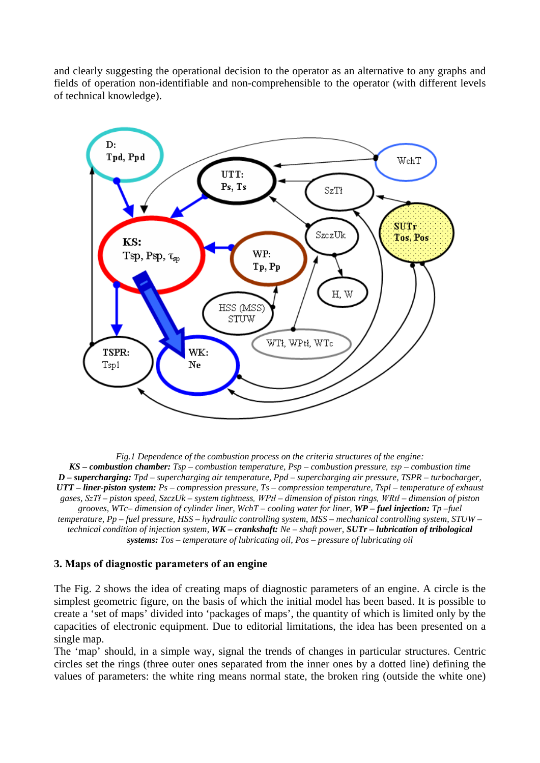and clearly suggesting the operational decision to the operator as an alternative to any graphs and fields of operation non-identifiable and non-comprehensible to the operator (with different levels of technical knowledge).



*Fig.1 Dependence of the combustion process on the criteria structures of the engine: KS – combustion chamber: Tsp – combustion temperature, Psp – combustion pressure, τsp – combustion time D – supercharging: Tpd – supercharging air temperature, Ppd – supercharging air pressure, TSPR – turbocharger, UTT – liner-piston system: Ps – compression pressure, Ts – compression temperature, Tspl – temperature of exhaust gases, SzTł – piston speed, SzczUk – system tightness, WPtł – dimension of piston rings, WRtł – dimension of piston grooves, WTc– dimension of cylinder liner, WchT – cooling water for liner, WP – fuel injection: Tp –fuel temperature, Pp – fuel pressure, HSS – hydraulic controlling system, MSS – mechanical controlling system, STUW – technical condition of injection system, WK – crankshaft: Ne – shaft power, SUTr – lubrication of tribological systems: Tos – temperature of lubricating oil, Pos – pressure of lubricating oil*

#### **3. Maps of diagnostic parameters of an engine**

The Fig. 2 shows the idea of creating maps of diagnostic parameters of an engine. A circle is the simplest geometric figure, on the basis of which the initial model has been based. It is possible to create a 'set of maps' divided into 'packages of maps', the quantity of which is limited only by the capacities of electronic equipment. Due to editorial limitations, the idea has been presented on a single map.

The 'map' should, in a simple way, signal the trends of changes in particular structures. Centric circles set the rings (three outer ones separated from the inner ones by a dotted line) defining the values of parameters: the white ring means normal state, the broken ring (outside the white one)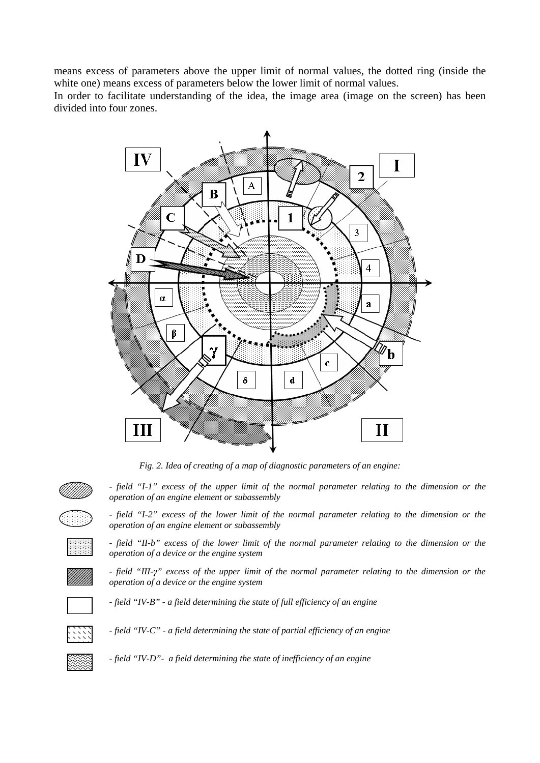means excess of parameters above the upper limit of normal values, the dotted ring (inside the white one) means excess of parameters below the lower limit of normal values.

In order to facilitate understanding of the idea, the image area (image on the screen) has been divided into four zones.



*Fig. 2. Idea of creating of a map of diagnostic parameters of an engine:* 

*- field "I-1" excess of the upper limit of the normal parameter relating to the dimension or the operation of an engine element or subassembly*



*- field "I-2" excess of the lower limit of the normal parameter relating to the dimension or the operation of an engine element or subassembly*



*- field "II-b" excess of the lower limit of the normal parameter relating to the dimension or the operation of a device or the engine system*



*- field "III-γ" excess of the upper limit of the normal parameter relating to the dimension or the operation of a device or the engine system*

*- field "IV-B" - a field determining the state of full efficiency of an engine*



*- field "IV-C" - a field determining the state of partial efficiency of an engine*



*- field "IV-D"- a field determining the state of inefficiency of an engine*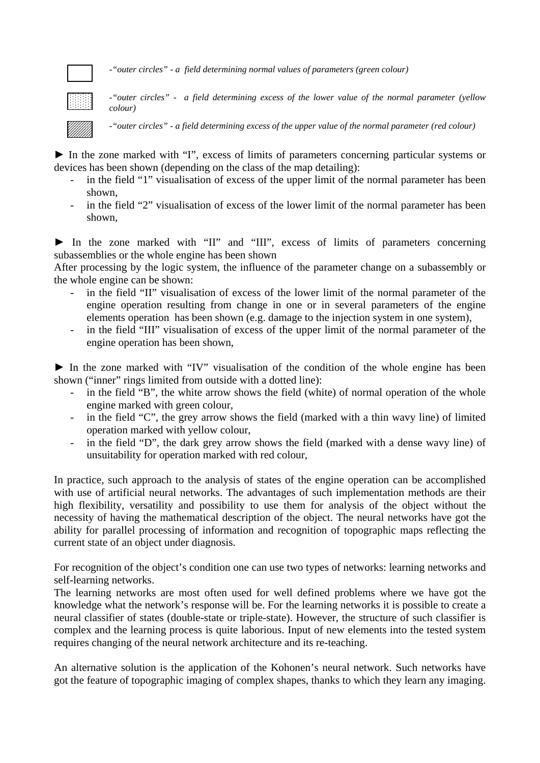*-"outer circles" - a field determining normal values of parameters (green colour)*

*-"outer circles" - a field determining excess of the lower value of the normal parameter (yellow colour)*

*-"outer circles" - a field determining excess of the upper value of the normal parameter (red colour)*

► In the zone marked with "I", excess of limits of parameters concerning particular systems or devices has been shown (depending on the class of the map detailing):

- in the field "1" visualisation of excess of the upper limit of the normal parameter has been shown,
- in the field "2" visualisation of excess of the lower limit of the normal parameter has been shown,

► In the zone marked with "II" and "III", excess of limits of parameters concerning subassemblies or the whole engine has been shown

After processing by the logic system, the influence of the parameter change on a subassembly or the whole engine can be shown:

- in the field "II" visualisation of excess of the lower limit of the normal parameter of the engine operation resulting from change in one or in several parameters of the engine elements operation has been shown (e.g. damage to the injection system in one system),
- in the field "III" visualisation of excess of the upper limit of the normal parameter of the engine operation has been shown,

► In the zone marked with "IV" visualisation of the condition of the whole engine has been shown ("inner" rings limited from outside with a dotted line):

- in the field "B", the white arrow shows the field (white) of normal operation of the whole engine marked with green colour,
- in the field "C", the grey arrow shows the field (marked with a thin wavy line) of limited operation marked with yellow colour,
- in the field "D", the dark grey arrow shows the field (marked with a dense wavy line) of unsuitability for operation marked with red colour,

In practice, such approach to the analysis of states of the engine operation can be accomplished with use of artificial neural networks. The advantages of such implementation methods are their high flexibility, versatility and possibility to use them for analysis of the object without the necessity of having the mathematical description of the object. The neural networks have got the ability for parallel processing of information and recognition of topographic maps reflecting the current state of an object under diagnosis.

For recognition of the object's condition one can use two types of networks: learning networks and self-learning networks.

The learning networks are most often used for well defined problems where we have got the knowledge what the network's response will be. For the learning networks it is possible to create a neural classifier of states (double-state or triple-state). However, the structure of such classifier is complex and the learning process is quite laborious. Input of new elements into the tested system requires changing of the neural network architecture and its re-teaching.

An alternative solution is the application of the Kohonen's neural network. Such networks have got the feature of topographic imaging of complex shapes, thanks to which they learn any imaging.